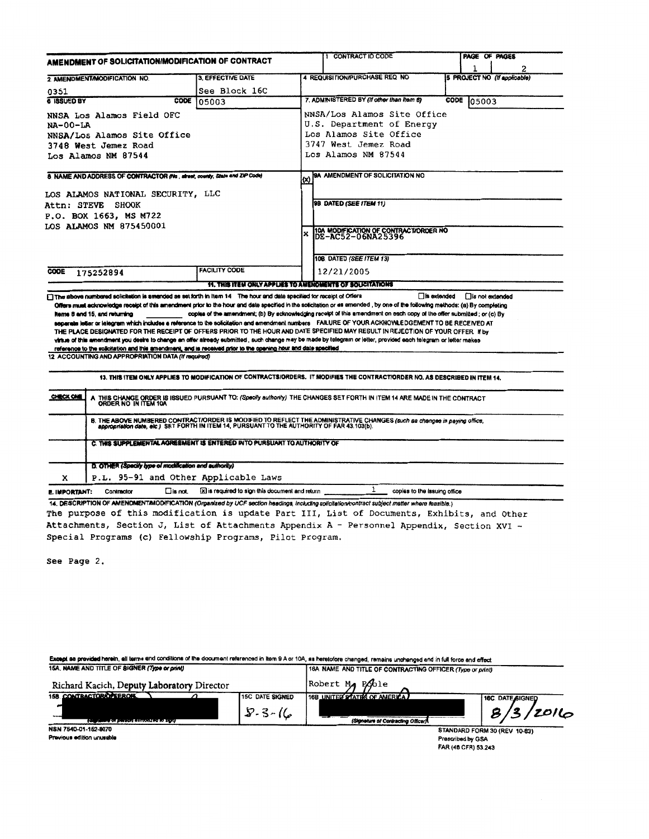| AMENDMENT OF SOLICITATION/MODIFICATION OF CONTRACT                                                                                                                                                                                                                                                                                                                                                                                                                                                                                                                                                                                                                                                                                                                                                                                                        |                                                                                             | 1 CONTRACT ID CODE |                                                                                                                                                |                      | <b>PAGE OF PAGES</b> |                                   |  |
|-----------------------------------------------------------------------------------------------------------------------------------------------------------------------------------------------------------------------------------------------------------------------------------------------------------------------------------------------------------------------------------------------------------------------------------------------------------------------------------------------------------------------------------------------------------------------------------------------------------------------------------------------------------------------------------------------------------------------------------------------------------------------------------------------------------------------------------------------------------|---------------------------------------------------------------------------------------------|--------------------|------------------------------------------------------------------------------------------------------------------------------------------------|----------------------|----------------------|-----------------------------------|--|
| 2 AMENDMENT/MODIFICATION NO.                                                                                                                                                                                                                                                                                                                                                                                                                                                                                                                                                                                                                                                                                                                                                                                                                              | <b>3. EFFECTIVE DATE</b>                                                                    |                    | 4 REQUISITION/PURCHASE REQ NO                                                                                                                  |                      |                      | 2<br>5 PROJECT NO (If applicable) |  |
| 0351                                                                                                                                                                                                                                                                                                                                                                                                                                                                                                                                                                                                                                                                                                                                                                                                                                                      | See Block 16C                                                                               |                    |                                                                                                                                                |                      |                      |                                   |  |
| <b>6 ISSUED BY</b><br>CODE                                                                                                                                                                                                                                                                                                                                                                                                                                                                                                                                                                                                                                                                                                                                                                                                                                | 105003                                                                                      |                    | 7. ADMINISTERED BY (If other than item 6)                                                                                                      | CODE                 | 05003                |                                   |  |
| NNSA Los Alamos Field OFC<br><b>NA-00-LA</b><br>NNSA/Los Alamos Site Office<br>3748 West Jemez Road<br>Los Alamos NM 87544                                                                                                                                                                                                                                                                                                                                                                                                                                                                                                                                                                                                                                                                                                                                |                                                                                             |                    | NNSA/Los Alamos Site Office<br>U.S. Department of Energy<br>Los Alamos Site Office<br>3747 West Jemez Road<br>Los Alamos NM 87544              |                      |                      |                                   |  |
| 8 NAME AND ADDRESS OF CONTRACTOR (No., street, county, State and ZiP Code)<br>LOS ALAMOS NATIONAL SECURITY, LLC<br><b>Attn: STEVE SHOOK</b><br>P.O. BOX 1663, MS M722<br>LOS ALAMOS NM 875450001                                                                                                                                                                                                                                                                                                                                                                                                                                                                                                                                                                                                                                                          |                                                                                             | (X)<br>x           | BA AMENDMENT OF SOLICITATION NO<br>9B DATED (SEE ITEM 11)<br>10A MODIFICATION OF CONTRACT/ORDER NO<br>DE-AC52-06NA25396                        |                      |                      |                                   |  |
|                                                                                                                                                                                                                                                                                                                                                                                                                                                                                                                                                                                                                                                                                                                                                                                                                                                           |                                                                                             |                    |                                                                                                                                                |                      |                      |                                   |  |
| <b>CODE</b><br>175252894<br>The above numbered solicitation is amended as set forth in item 14 The hour and date specified for receipt of Offers                                                                                                                                                                                                                                                                                                                                                                                                                                                                                                                                                                                                                                                                                                          | <b>FACILITY CODE</b><br>11. THIS ITEM ONLY APPLIES TO AMENOMENTS OF SOLICITATIONS           |                    | 108 DATED (SEE ITEM 13)<br>12/21/2005                                                                                                          | <b>□ is extended</b> | □ is not extended    |                                   |  |
| Offers must acknowledge receipt of this amendment prior to the hour and date specified in the solicitation or as amended, by one of the following methods: (a) By completing<br><b>Reme 8 and 15, and returning</b><br>separate letter or lelegram which includes a reference to the solicitation and amendment numbers FAILURE OF YOUR ACKNOVALEDGEMENT TO BE RECEIVED AT<br>THE PLACE DESIGNATED FOR THE RECEIPT OF OFFERS PRIOR TO THE HOUR AND DATE SPECIFIED MAY RESULT IN REJECTION OF YOUR OFFER If by<br>virtue of this amendment you desire to change an offer aiready submitted , such change may be made by telegram or letter, provided each telegram or letter makes<br>reference to the solicitation and this amendment, and is received prior to the opening hour and date specified<br>12 ACCOUNTING AND APPROPRIATION DATA (If required) |                                                                                             |                    | copies of the amendment; (b) By acknowledging receipt of this amendment on each copy of the offer submitted; or (c) By                         |                      |                      |                                   |  |
|                                                                                                                                                                                                                                                                                                                                                                                                                                                                                                                                                                                                                                                                                                                                                                                                                                                           |                                                                                             |                    | 13. THIS ITEM ONLY APPLIES TO MODIFICATION OF CONTRACTS/ORDERS. IT MODIFIES THE CONTRACT/ORDER NO. AS DESCRIBED IN ITEM 14.                    |                      |                      |                                   |  |
| <b>CHECK ONE</b>                                                                                                                                                                                                                                                                                                                                                                                                                                                                                                                                                                                                                                                                                                                                                                                                                                          |                                                                                             |                    | THIS CHANGE ORDER IS ISSUED PURSUANT TO: (Specify authority) THE CHANGES SET FORTH IN ITEM 14 ARE MADE IN THE CONTRACT<br>ORDER NO IN ITEM 10A |                      |                      |                                   |  |
|                                                                                                                                                                                                                                                                                                                                                                                                                                                                                                                                                                                                                                                                                                                                                                                                                                                           | appropriation date, etc.) SET FORTH IN ITEM 14, PURSUANT TO THE AUTHORITY OF FAR 43.103(b). |                    | B. THE ABOVE NUMBERED CONTRACT/ORDER IS MODIFIED TO REFLECT THE ADMINISTRATIVE CHANGES (such as changes in paying office,                      |                      |                      |                                   |  |
| C. THIS SUPPLEMENTAL AGREEMENT IS ENTERED INTO PURSUANT TO AUTHORITY OF                                                                                                                                                                                                                                                                                                                                                                                                                                                                                                                                                                                                                                                                                                                                                                                   |                                                                                             |                    |                                                                                                                                                |                      |                      |                                   |  |
| D. OTHER (Specify type of modification and authority)<br>P.L. 95-91 and Other Applicable Laws<br>x                                                                                                                                                                                                                                                                                                                                                                                                                                                                                                                                                                                                                                                                                                                                                        |                                                                                             |                    |                                                                                                                                                |                      |                      |                                   |  |

The purpose of this modification is update Part III, List of Documents, Exhibits, and Other Attachments, Section J, List of Attachments Appendix A - Personnel Appendix, Section XVI -Special Programs (c) Fellowship Programs, Pilot Program.

See Page 2.

| Except as provided herein, all terms and conditions of the document referenced in Item 9 A or 10A, as heretofore changed, remains unchanged and in full force and effect |                        |                                                           |                  |  |  |  |  |  |
|--------------------------------------------------------------------------------------------------------------------------------------------------------------------------|------------------------|-----------------------------------------------------------|------------------|--|--|--|--|--|
| 15A. NAME AND TITLE OF SIGNER (Type or print)                                                                                                                            |                        | 16A NAME AND TITLE OF CONTRACTING OFFICER (Type or print) |                  |  |  |  |  |  |
| Richard Kacich, Deputy Laboratory Director                                                                                                                               |                        | Robert Ma Poble                                           |                  |  |  |  |  |  |
| <b>158 CONTRACTORIOFEEROR</b>                                                                                                                                            | <b>15C DATE SIGNED</b> | 16B UNITED STATES OF AMERICA                              | 16C. DATE SIGNED |  |  |  |  |  |
|                                                                                                                                                                          | $8 - 3 - 16$           |                                                           | 8/3/2016         |  |  |  |  |  |
| (deplease or person sumons or to sign)                                                                                                                                   |                        | (Signature of Contracting Officer).                       |                  |  |  |  |  |  |
| NSN 7540-01-152-8070                                                                                                                                                     |                        | STANDARD FORM 30 (REV 10-83)                              |                  |  |  |  |  |  |
| Previous edition unusable                                                                                                                                                |                        | Prescribed by GSA                                         |                  |  |  |  |  |  |
|                                                                                                                                                                          |                        | FAR (48 CFR) 53.243                                       |                  |  |  |  |  |  |